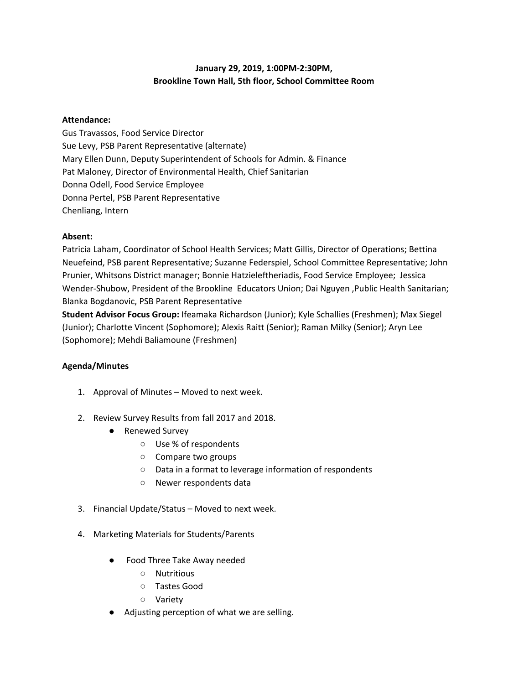## **January 29, 2019, 1:00PM-2:30PM, Brookline Town Hall, 5th floor, School Committee Room**

## **Attendance:**

Gus Travassos, Food Service Director Sue Levy, PSB Parent Representative (alternate) Mary Ellen Dunn, Deputy Superintendent of Schools for Admin. & Finance Pat Maloney, Director of Environmental Health, Chief Sanitarian Donna Odell, Food Service Employee Donna Pertel, PSB Parent Representative Chenliang, Intern

## **Absent:**

Patricia Laham, Coordinator of School Health Services; Matt Gillis, Director of Operations; Bettina Neuefeind, PSB parent Representative; Suzanne Federspiel, School Committee Representative; John Prunier, Whitsons District manager; Bonnie Hatzieleftheriadis, Food Service Employee; Jessica Wender-Shubow, President of the Brookline Educators Union; Dai Nguyen ,Public Health Sanitarian; Blanka Bogdanovic, PSB Parent Representative

**Student Advisor Focus Group:** Ifeamaka Richardson (Junior); Kyle Schallies (Freshmen); Max Siegel (Junior); Charlotte Vincent (Sophomore); Alexis Raitt (Senior); Raman Milky (Senior); Aryn Lee (Sophomore); Mehdi Baliamoune (Freshmen)

## **Agenda/Minutes**

- 1. Approval of Minutes Moved to next week.
- 2. Review Survey Results from fall 2017 and 2018.
	- Renewed Survey
		- Use % of respondents
		- Compare two groups
		- Data in a format to leverage information of respondents
		- Newer respondents data
- 3. Financial Update/Status Moved to next week.
- 4. Marketing Materials for Students/Parents
	- Food Three Take Away needed
		- Nutritious
		- Tastes Good
		- Variety
	- Adjusting perception of what we are selling.